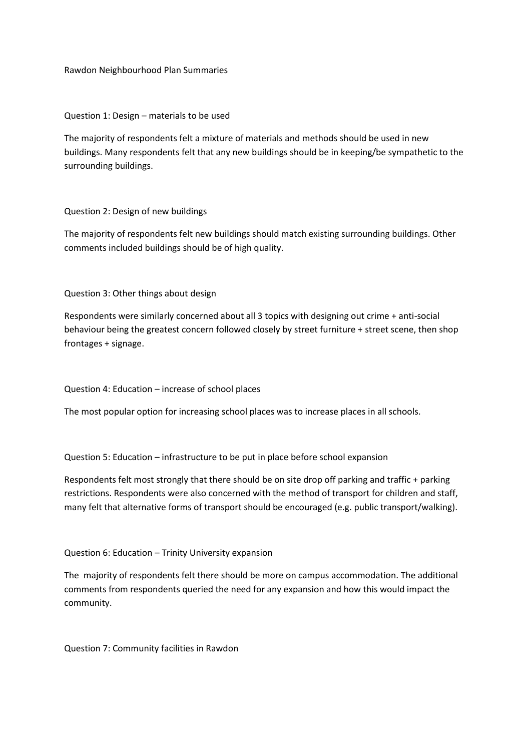Rawdon Neighbourhood Plan Summaries

Question 1: Design – materials to be used

The majority of respondents felt a mixture of materials and methods should be used in new buildings. Many respondents felt that any new buildings should be in keeping/be sympathetic to the surrounding buildings.

Question 2: Design of new buildings

The majority of respondents felt new buildings should match existing surrounding buildings. Other comments included buildings should be of high quality.

Question 3: Other things about design

Respondents were similarly concerned about all 3 topics with designing out crime + anti-social behaviour being the greatest concern followed closely by street furniture + street scene, then shop frontages + signage.

Question 4: Education – increase of school places

The most popular option for increasing school places was to increase places in all schools.

Question 5: Education – infrastructure to be put in place before school expansion

Respondents felt most strongly that there should be on site drop off parking and traffic + parking restrictions. Respondents were also concerned with the method of transport for children and staff, many felt that alternative forms of transport should be encouraged (e.g. public transport/walking).

Question 6: Education – Trinity University expansion

The majority of respondents felt there should be more on campus accommodation. The additional comments from respondents queried the need for any expansion and how this would impact the community.

Question 7: Community facilities in Rawdon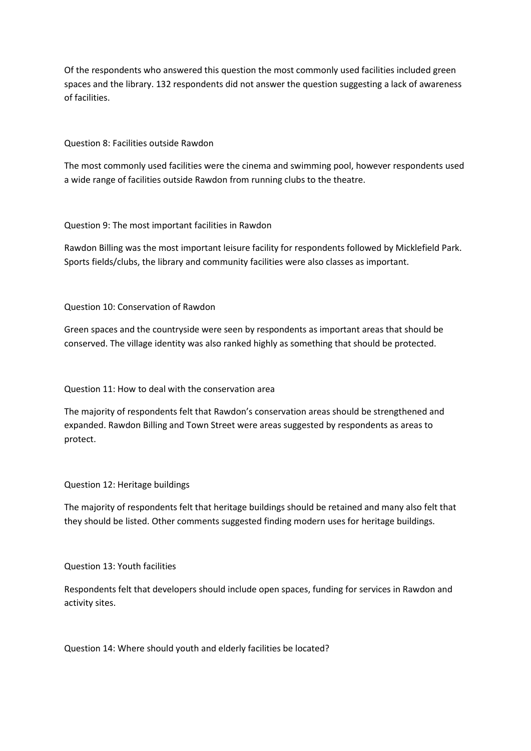Of the respondents who answered this question the most commonly used facilities included green spaces and the library. 132 respondents did not answer the question suggesting a lack of awareness of facilities.

Question 8: Facilities outside Rawdon

The most commonly used facilities were the cinema and swimming pool, however respondents used a wide range of facilities outside Rawdon from running clubs to the theatre.

Question 9: The most important facilities in Rawdon

Rawdon Billing was the most important leisure facility for respondents followed by Micklefield Park. Sports fields/clubs, the library and community facilities were also classes as important.

Question 10: Conservation of Rawdon

Green spaces and the countryside were seen by respondents as important areas that should be conserved. The village identity was also ranked highly as something that should be protected.

Question 11: How to deal with the conservation area

The majority of respondents felt that Rawdon's conservation areas should be strengthened and expanded. Rawdon Billing and Town Street were areas suggested by respondents as areas to protect.

Question 12: Heritage buildings

The majority of respondents felt that heritage buildings should be retained and many also felt that they should be listed. Other comments suggested finding modern uses for heritage buildings.

Question 13: Youth facilities

Respondents felt that developers should include open spaces, funding for services in Rawdon and activity sites.

Question 14: Where should youth and elderly facilities be located?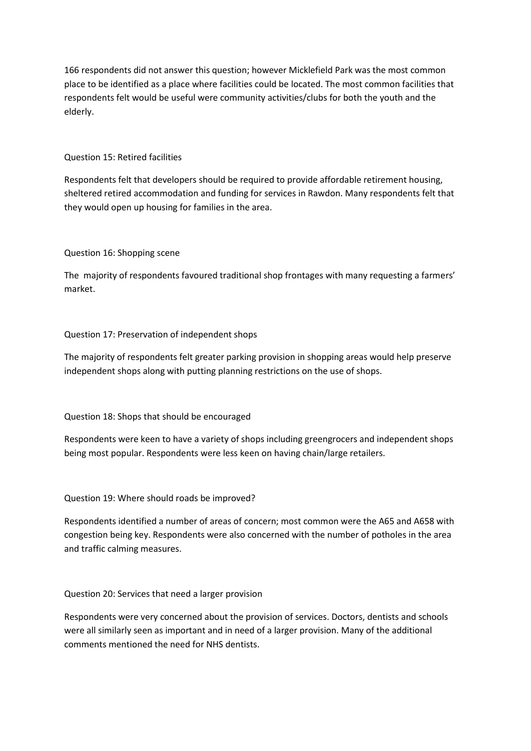166 respondents did not answer this question; however Micklefield Park was the most common place to be identified as a place where facilities could be located. The most common facilities that respondents felt would be useful were community activities/clubs for both the youth and the elderly.

### Question 15: Retired facilities

Respondents felt that developers should be required to provide affordable retirement housing, sheltered retired accommodation and funding for services in Rawdon. Many respondents felt that they would open up housing for families in the area.

## Question 16: Shopping scene

The majority of respondents favoured traditional shop frontages with many requesting a farmers' market.

## Question 17: Preservation of independent shops

The majority of respondents felt greater parking provision in shopping areas would help preserve independent shops along with putting planning restrictions on the use of shops.

# Question 18: Shops that should be encouraged

Respondents were keen to have a variety of shops including greengrocers and independent shops being most popular. Respondents were less keen on having chain/large retailers.

#### Question 19: Where should roads be improved?

Respondents identified a number of areas of concern; most common were the A65 and A658 with congestion being key. Respondents were also concerned with the number of potholes in the area and traffic calming measures.

#### Question 20: Services that need a larger provision

Respondents were very concerned about the provision of services. Doctors, dentists and schools were all similarly seen as important and in need of a larger provision. Many of the additional comments mentioned the need for NHS dentists.